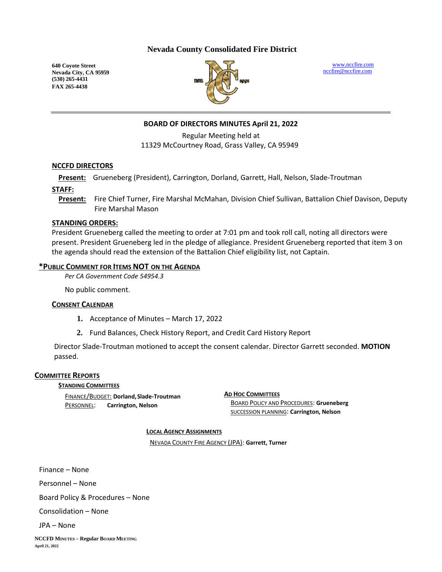## **Nevada County Consolidated Fire District**

**640 Coyote Street Nevada City, CA 95959 (530) 265-4431 FAX 265-4438**



[www.nccfire.com](http://www.nccfire.com/) [nccfire@nccfire.com](mailto:nccfire@nccfire.com)

# **BOARD OF DIRECTORS MINUTES April 21, 2022**

Regular Meeting held at 11329 McCourtney Road, Grass Valley, CA 95949

#### **NCCFD DIRECTORS**

**Present:** Grueneberg (President), Carrington, Dorland, Garrett, Hall, Nelson, Slade-Troutman

**STAFF:**

**Present:** Fire Chief Turner, Fire Marshal McMahan, Division Chief Sullivan, Battalion Chief Davison, Deputy Fire Marshal Mason

#### **STANDING ORDERS:**

President Grueneberg called the meeting to order at 7:01 pm and took roll call, noting all directors were present. President Grueneberg led in the pledge of allegiance. President Grueneberg reported that item 3 on the agenda should read the extension of the Battalion Chief eligibility list, not Captain.

## **\*PUBLIC COMMENT FOR ITEMS NOT ON THE AGENDA**

*Per CA Government Code 54954.3*

No public comment.

#### **CONSENT CALENDAR**

- **1.** Acceptance of Minutes March 17, 2022
- **2.** Fund Balances, Check History Report, and Credit Card History Report

Director Slade-Troutman motioned to accept the consent calendar. Director Garrett seconded. **MOTION** passed.

#### **COMMITTEE REPORTS**

**STANDING COMMITTEES**

FINANCE/BUDGET: **Dorland,Slade-Troutman** PERSONNEL: **Carrington, Nelson**

**AD HOC COMMITTEES** BOARD POLICY AND PROCEDURES: **Grueneberg** SUCCESSION PLANNING: **Carrington, Nelson**

**LOCAL AGENCY ASSIGNMENTS**

NEVADA COUNTY FIRE AGENCY (JPA): **Garrett, Turner**

Finance – None

Personnel – None

Board Policy & Procedures – None

Consolidation – None

JPA – None

**NCCFD MINUTES – Regular BOARD MEETING April 21, 2022**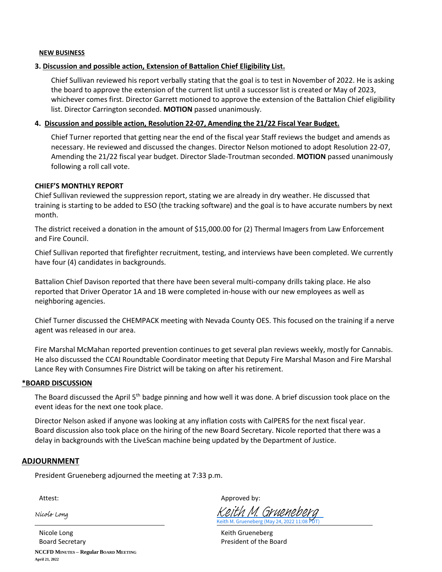#### **NEW BUSINESS**

#### **3. Discussion and possible action, Extension of Battalion Chief Eligibility List.**

Chief Sullivan reviewed his report verbally stating that the goal is to test in November of 2022. He is asking the board to approve the extension of the current list until a successor list is created or May of 2023, whichever comes first. Director Garrett motioned to approve the extension of the Battalion Chief eligibility list. Director Carrington seconded. **MOTION** passed unanimously.

#### **4. Discussion and possible action, Resolution 22-07, Amending the 21/22 Fiscal Year Budget.**

Chief Turner reported that getting near the end of the fiscal year Staff reviews the budget and amends as necessary. He reviewed and discussed the changes. Director Nelson motioned to adopt Resolution 22-07, Amending the 21/22 fiscal year budget. Director Slade-Troutman seconded. **MOTION** passed unanimously following a roll call vote.

#### **CHIEF'S MONTHLY REPORT**

Chief Sullivan reviewed the suppression report, stating we are already in dry weather. He discussed that training is starting to be added to ESO (the tracking software) and the goal is to have accurate numbers by next month.

The district received a donation in the amount of \$15,000.00 for (2) Thermal Imagers from Law Enforcement and Fire Council.

Chief Sullivan reported that firefighter recruitment, testing, and interviews have been completed. We currently have four (4) candidates in backgrounds.

Battalion Chief Davison reported that there have been several multi-company drills taking place. He also reported that Driver Operator 1A and 1B were completed in-house with our new employees as well as neighboring agencies.

Chief Turner discussed the CHEMPACK meeting with Nevada County OES. This focused on the training if a nerve agent was released in our area.

Fire Marshal McMahan reported prevention continues to get several plan reviews weekly, mostly for Cannabis. He also discussed the CCAI Roundtable Coordinator meeting that Deputy Fire Marshal Mason and Fire Marshal Lance Rey with Consumnes Fire District will be taking on after his retirement.

#### **\*BOARD DISCUSSION**

The Board discussed the April 5<sup>th</sup> badge pinning and how well it was done. A brief discussion took place on the event ideas for the next one took place.

Director Nelson asked if anyone was looking at any inflation costs with CalPERS for the next fiscal year. Board discussion also took place on the hiring of the new Board Secretary. Nicole reported that there was a delay in backgrounds with the LiveScan machine being updated by the Department of Justice.

#### **ADJOURNMENT**

President Grueneberg adjourned the meeting at 7:33 p.m.

Nicole Long

Attest: Attest: Approved by:

Keith M. Grueneberg (May 24, 2022 11:08 PDT) [Keith M. Grueneberg](https://na1.documents.adobe.com/verifier?tx=CBJCHBCAABAALQJAkRHhYX1KTiF4nCkPN695RZUb_UXo)

**NCCFD MINUTES – Regular BOARD MEETING April 21, 2022** Nicole Long **Keith Grueneberg** Keith Grueneberg Board Secretary **President of the Board**